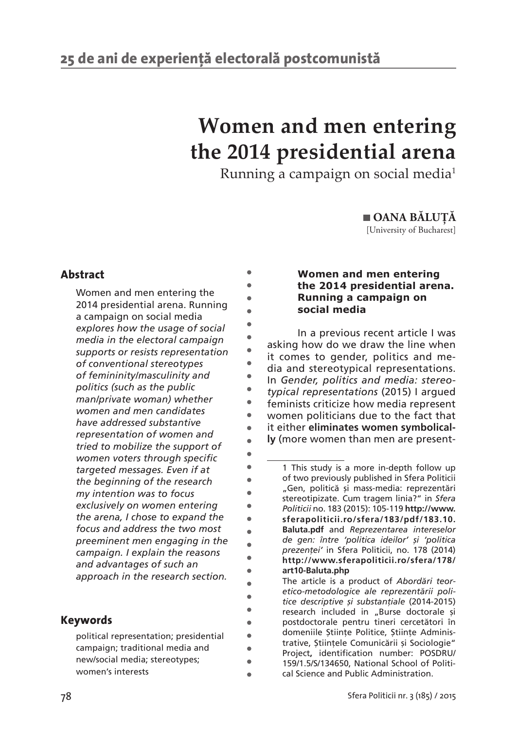$\bullet$  $\bullet$ ò  $\blacksquare$ ò  $\bullet$  $\bullet$  $\ddot{\phantom{a}}$  $\bullet$ ò  $\bullet$  $\bullet$  $\bullet$  $\bullet$  $\bullet$ ċ  $\bullet$  $\bullet$  $\blacksquare$  $\bullet$  $\bullet$  $\blacksquare$  $\overline{a}$ ¢  $\bullet$  $\bullet$  $\bullet$  $\bullet$  $\bullet$  $\bullet$  $\blacksquare$ 

# **Women and men entering the 2014 presidential arena**

Running a campaign on social media1

 **OANA BĂLUȚĂ** [University of Bucharest]

# **Abstract**

Women and men entering the 2014 presidential arena. Running a campaign on social media *explores how the usage of social media in the electoral campaign supports or resists representation of conventional stereotypes of femininity/masculinity and politics (such as the public man/private woman) whether women and men candidates have addressed substantive representation of women and tried to mobilize the support of women voters through specific targeted messages. Even if at the beginning of the research my intention was to focus exclusively on women entering the arena, I chose to expand the focus and address the two most preeminent men engaging in the campaign. I explain the reasons and advantages of such an approach in the research section.*

## **Keywords**

political representation; presidential campaign; traditional media and new/social media; stereotypes; women's interests

## **Women and men entering the 2014 presidential arena. Running a campaign on social media1**

In a previous recent article I was asking how do we draw the line when it comes to gender, politics and media and stereotypical representations. In *Gender, politics and media: stereotypical representations* (2015) I argued feminists criticize how media represent women politicians due to the fact that it either **eliminates women symbolically** (more women than men are present-

<sup>1</sup> This study is a more in-depth follow up of two previously published in Sfera Politicii "Gen, politică și mass-media: reprezentări stereotipizate. Cum tragem linia?" in *Sfera Politicii* no. 183 (2015): 105-119 **http://www. sferapoliticii.ro/sfera/183/pdf/183.10. Baluta.pdf** and *Reprezentarea intereselor de gen: între 'politica ideilor' și 'politica prezenței'* in Sfera Politicii, no. 178 (2014) **http://www.sferapoliticii.ro/sfera/178/ art10-Baluta.php**

The article is a product of *Abordări teoretico-metodologice ale reprezentării politice descriptive și substanțiale* (2014-2015) research included in "Burse doctorale și post doctorale pentru tineri cercetători în domeniile Științe Politice, Științe Administrative, Științele Comunicării și Sociologie" Project**,** identification number: POSDRU/ 159/1.5/S/134650, National School of Political Science and Public Administration.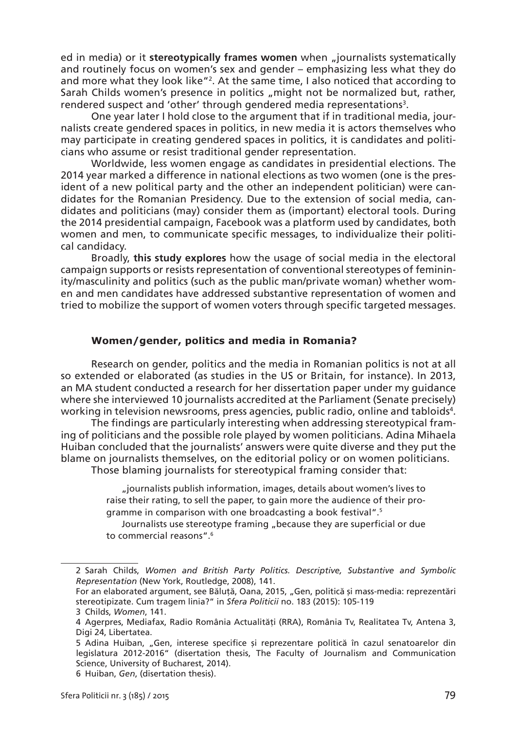ed in media) or it stereotypically frames women when "journalists systematically and routinely focus on women's sex and gender – emphasizing less what they do and more what they look like"2 . At the same time, I also noticed that according to Sarah Childs women's presence in politics "might not be normalized but, rather, rendered suspect and 'other' through gendered media representations $^{\text{\tiny 3}}$ .

One year later I hold close to the argument that if in traditional media, journalists create gendered spaces in politics, in new media it is actors themselves who may participate in creating gendered spaces in politics, it is candidates and politicians who assume or resist traditional gender representation.

Worldwide, less women engage as candidates in presidential elections. The 2014 year marked a difference in national elections as two women (one is the president of a new political party and the other an independent politician) were candidates for the Romanian Presidency. Due to the extension of social media, candidates and politicians (may) consider them as (important) electoral tools. During the 2014 presidential campaign, Facebook was a platform used by candidates, both women and men, to communicate specific messages, to individualize their political candidacy.

Broadly, **this study explores** how the usage of social media in the electoral campaign supports or resists representation of conventional stereotypes of femininity/masculinity and politics (such as the public man/private woman) whether women and men candidates have addressed substantive representation of women and tried to mobilize the support of women voters through specific targeted messages.

#### **Women/gender, politics and media in Romania?**

Research on gender, politics and the media in Romanian politics is not at all so extended or elaborated (as studies in the US or Britain, for instance). In 2013, an MA student conducted a research for her dissertation paper under my guidance where she interviewed 10 journalists accredited at the Parliament (Senate precisely) working in television newsrooms, press agencies, public radio, online and tabloids4 .

The findings are particularly interesting when addressing stereotypical framing of politicians and the possible role played by women politicians. Adina Mihaela Huiban concluded that the journalists' answers were quite diverse and they put the blame on journalists themselves, on the editorial policy or on women politicians. Those blaming journalists for stereotypical framing consider that:

> "journalists publish information, images, details about women's lives to raise their rating, to sell the paper, to gain more the audience of their programme in comparison with one broadcasting a book festival".<sup>5</sup>

> Journalists use stereotype framing "because they are superficial or due to commercial reasons".6

<sup>2</sup> Sarah Childs, *Women and British Party Politics. Descriptive, Substantive and Symbolic Representation* (New York, Routledge, 2008), 141.

For an elaborated argument, see Băluță, Oana, 2015, "Gen, politică și mass-media: reprezentări stereotipizate. Cum tragem linia?" in *Sfera Politicii* no. 183 (2015): 105-119

<sup>3</sup> Childs, *Women*, 141.

<sup>4</sup> Agerpres, Mediafax, Radio România Actualități (RRA), România Tv, Realitatea Tv, Antena 3, Digi 24, Libertatea.

<sup>5</sup> Adina Huiban, "Gen, interese specifice și reprezentare politică în cazul senatoarelor din legislatura 2012-2016" (disertation thesis, The Faculty of Journalism and Communication Science, University of Bucharest, 2014).

<sup>6</sup> Huiban, *Gen*, (disertation thesis).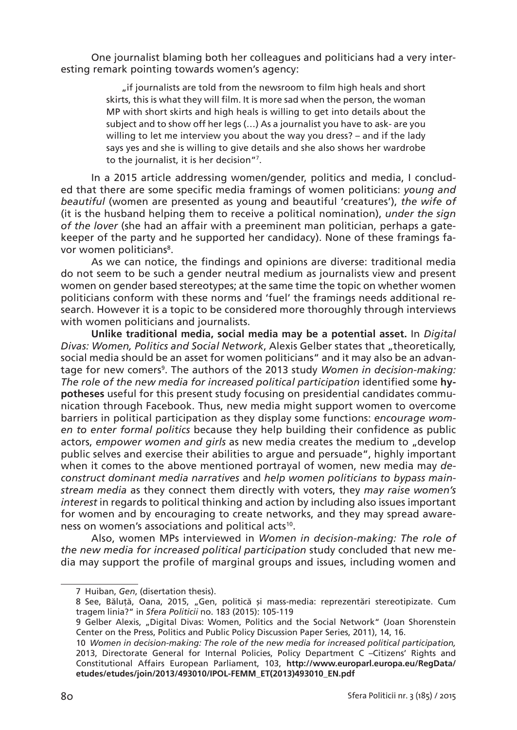One journalist blaming both her colleagues and politicians had a very interesting remark pointing towards women's agency:

> "if journalists are told from the newsroom to film high heals and short skirts, this is what they will film. It is more sad when the person, the woman MP with short skirts and high heals is willing to get into details about the subject and to show off her legs (…) As a journalist you have to ask- are you willing to let me interview you about the way you dress? – and if the lady says yes and she is willing to give details and she also shows her wardrobe to the journalist, it is her decision"7 .

In a 2015 article addressing women/gender, politics and media, I concluded that there are some specific media framings of women politicians: *young and beautiful* (women are presented as young and beautiful 'creatures'), *the wife of*  (it is the husband helping them to receive a political nomination), *under the sign of the lover* (she had an affair with a preeminent man politician, perhaps a gatekeeper of the party and he supported her candidacy). None of these framings favor women politicians<sup>8</sup>.

As we can notice, the findings and opinions are diverse: traditional media do not seem to be such a gender neutral medium as journalists view and present women on gender based stereotypes; at the same time the topic on whether women politicians conform with these norms and 'fuel' the framings needs additional research. However it is a topic to be considered more thoroughly through interviews with women politicians and journalists.

**Unlike traditional media, social media may be a potential asset.** In *Digital Divas: Women, Politics and Social Network, Alexis Gelber states that "theoretically,* social media should be an asset for women politicians" and it may also be an advantage for new comers<sup>9</sup>. The authors of the 2013 study *Women in decision-making:* The role of the new media for increased political participation identified some hy**potheses** useful for this present study focusing on presidential candidates communication through Facebook. Thus, new media might support women to overcome barriers in political participation as they display some functions: *encourage women to enter formal politics* because they help building their confidence as public actors, *empower women and girls* as new media creates the medium to "develop public selves and exercise their abilities to argue and persuade", highly important when it comes to the above mentioned portrayal of women, new media may *deconstruct dominant media narratives* and *help women politicians to bypass mainstream media* as they connect them directly with voters, they *may raise women's interest* in regards to political thinking and action by including also issues important for women and by encouraging to create networks, and they may spread awareness on women's associations and political acts<sup>10</sup>.

Also, women MPs interviewed in *Women in decision-making: The role of the new media for increased political participation* study concluded that new media may support the profile of marginal groups and issues, including women and

<sup>7</sup> Huiban, *Gen*, (disertation thesis).

<sup>8</sup> See, Băluță, Oana, 2015, "Gen, politică și mass-media: reprezentări stereotipizate. Cum tragem linia?" in *Sfera Politicii* no. 183 (2015): 105-119

<sup>9</sup> Gelber Alexis, "Digital Divas: Women, Politics and the Social Network" (Joan Shorenstein Center on the Press, Politics and Public Policy Discussion Paper Series, 2011), 14, 16.

<sup>10</sup> *Women in decision-making: The role of the new media for increased political participation,*  2013, Directorate General for Internal Policies, Policy Department C –Citizens' Rights and Constitutional Affairs European Parliament, 103, **http://www.europarl.europa.eu/RegData/ etudes/etudes/join/2013/493010/IPOL-FEMM\_ET(2013)493010\_EN.pdf**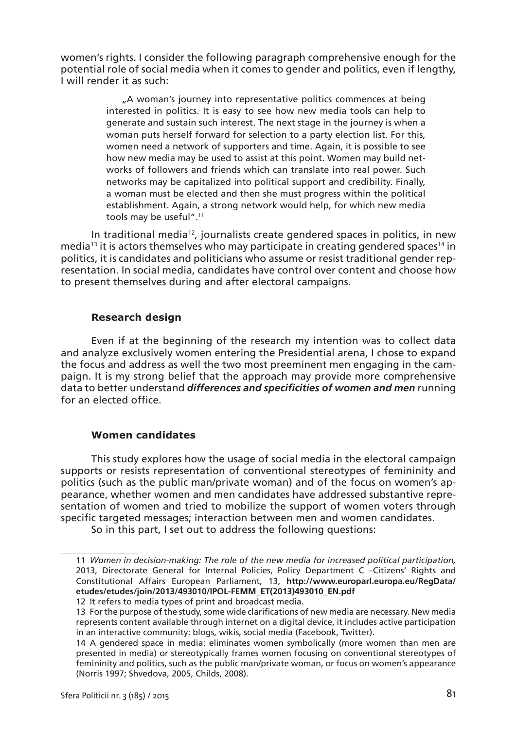women's rights. I consider the following paragraph comprehensive enough for the potential role of social media when it comes to gender and politics, even if lengthy, I will render it as such:

> . A woman's journey into representative politics commences at being interested in politics. It is easy to see how new media tools can help to generate and sustain such interest. The next stage in the journey is when a woman puts herself forward for selection to a party election list. For this, women need a network of supporters and time. Again, it is possible to see how new media may be used to assist at this point. Women may build networks of followers and friends which can translate into real power. Such networks may be capitalized into political support and credibility. Finally, a woman must be elected and then she must progress within the political establishment. Again, a strong network would help, for which new media tools may be useful".<sup>11</sup>

In traditional media<sup>12</sup>, journalists create gendered spaces in politics, in new media<sup>13</sup> it is actors themselves who may participate in creating gendered spaces<sup>14</sup> in politics, it is candidates and politicians who assume or resist traditional gender representation. In social media, candidates have control over content and choose how to present themselves during and after electoral campaigns.

## **Research design**

Even if at the beginning of the research my intention was to collect data and analyze exclusively women entering the Presidential arena, I chose to expand the focus and address as well the two most preeminent men engaging in the campaign. It is my strong belief that the approach may provide more comprehensive data to better understand *differences and specificities of women and men* running for an elected office.

## **Women candidates**

This study explores how the usage of social media in the electoral campaign supports or resists representation of conventional stereotypes of femininity and politics (such as the public man/private woman) and of the focus on women's appearance, whether women and men candidates have addressed substantive representation of women and tried to mobilize the support of women voters through specific targeted messages; interaction between men and women candidates.

So in this part, I set out to address the following questions:

<sup>11</sup> *Women in decision-making: The role of the new media for increased political participation,*  2013, Directorate General for Internal Policies, Policy Department C –Citizens' Rights and Constitutional Affairs European Parliament, 13, **http://www.europarl.europa.eu/RegData/ etudes/etudes/join/2013/493010/IPOL-FEMM\_ET(2013)493010\_EN.pdf**

<sup>12</sup> It refers to media types of print and broadcast media.

<sup>13</sup> For the purpose of the study, some wide clarifications of new media are necessary. New media represents content available through internet on a digital device, it includes active participation in an interactive community: blogs, wikis, social media (Facebook, Twitter).

<sup>14</sup> A gendered space in media: eliminates women symbolically (more women than men are presented in media) or stereotypically frames women focusing on conventional stereotypes of femininity and politics, such as the public man/private woman, or focus on women's appearance (Norris 1997; Shvedova, 2005, Childs, 2008).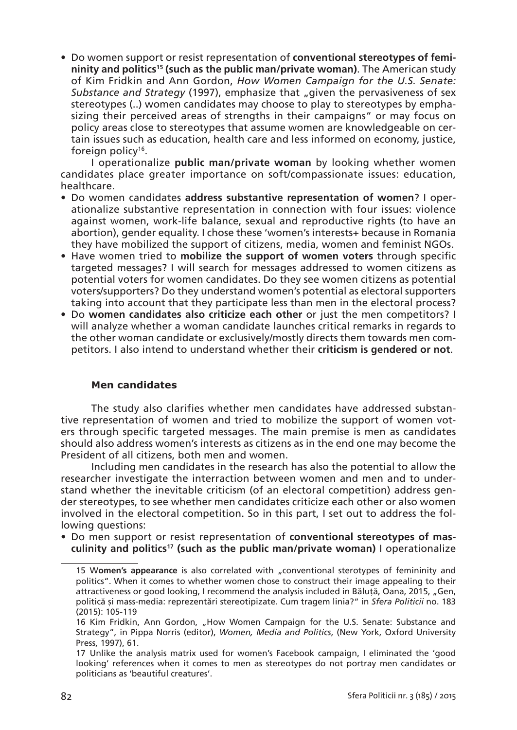• Do women support or resist representation of **conventional stereotypes of femininity and politics15 (such as the public man/private woman)**. The American study of Kim Fridkin and Ann Gordon, *How Women Campaign for the U.S. Senate: Substance and Strategy* (1997), emphasize that "given the pervasiveness of sex stereotypes (..) women candidates may choose to play to stereotypes by emphasizing their perceived areas of strengths in their campaigns" or may focus on policy areas close to stereotypes that assume women are knowledgeable on certain issues such as education, health care and less informed on economy, justice, foreign policy<sup>16</sup>.

I operationalize **public man/private woman** by looking whether women candidates place greater importance on soft/compassionate issues: education, healthcare.

- Do women candidates **address substantive representation of women**? I operationalize substantive representation in connection with four issues: violence against women, work-life balance, sexual and reproductive rights (to have an abortion), gender equality. I chose these 'women's interests+ because in Romania they have mobilized the support of citizens, media, women and feminist NGOs.
- Have women tried to **mobilize the support of women voters** through specific targeted messages? I will search for messages addressed to women citizens as potential voters for women candidates. Do they see women citizens as potential voters/supporters? Do they understand women's potential as electoral supporters taking into account that they participate less than men in the electoral process?
- Do **women candidates also criticize each other** or just the men competitors? I will analyze whether a woman candidate launches critical remarks in regards to the other woman candidate or exclusively/mostly directs them towards men competitors. I also intend to understand whether their **criticism is gendered or not**.

## **Men candidates**

The study also clarifies whether men candidates have addressed substantive representation of women and tried to mobilize the support of women voters through specific targeted messages. The main premise is men as candidates should also address women's interests as citizens as in the end one may become the President of all citizens, both men and women.

Including men candidates in the research has also the potential to allow the researcher investigate the interraction between women and men and to understand whether the inevitable criticism (of an electoral competition) address gender stereotypes, to see whether men candidates criticize each other or also women involved in the electoral competition. So in this part, I set out to address the following questions:

• Do men support or resist representation of **conventional stereotypes of masculinity and politics17 (such as the public man/private woman)** I operationalize

<sup>15</sup> Women's appearance is also correlated with "conventional sterotypes of femininity and politics". When it comes to whether women chose to construct their image appealing to their attractiveness or good looking, I recommend the analysis included in Bălută, Oana, 2015, "Gen, politică și mass-media: reprezentări stereotipizate. Cum tragem linia?" in *Sfera Politicii* no. 183 (2015): 105-119

<sup>16</sup> Kim Fridkin, Ann Gordon, "How Women Campaign for the U.S. Senate: Substance and Strategy", in Pippa Norris (editor), *Women, Media and Politics*, (New York, Oxford University Press, 1997), 61.

<sup>17</sup> Unlike the analysis matrix used for women's Facebook campaign, I eliminated the 'good looking' references when it comes to men as stereotypes do not portray men candidates or politicians as 'beautiful creatures'.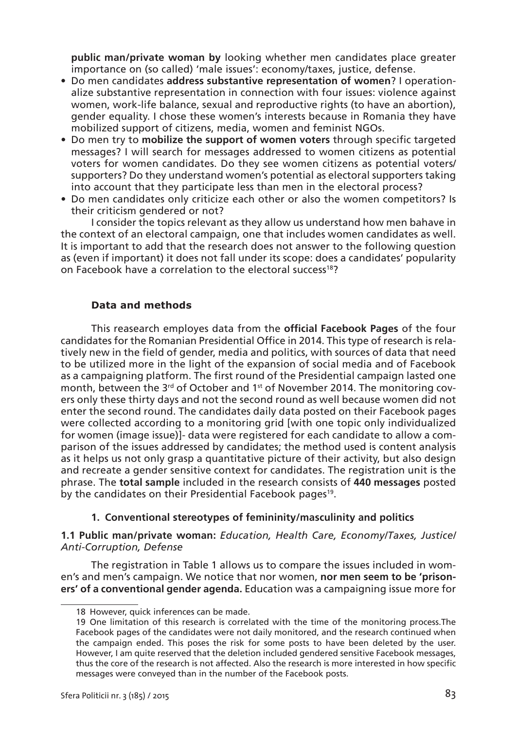**public man/private woman by** looking whether men candidates place greater importance on (so called) 'male issues': economy/taxes, justice, defense.

- Do men candidates **address substantive representation of women**? I operationalize substantive representation in connection with four issues: violence against women, work-life balance, sexual and reproductive rights (to have an abortion), gender equality. I chose these women's interests because in Romania they have mobilized support of citizens, media, women and feminist NGOs.
- Do men try to **mobilize the support of women voters** through specific targeted messages? I will search for messages addressed to women citizens as potential voters for women candidates. Do they see women citizens as potential voters/ supporters? Do they understand women's potential as electoral supporters taking into account that they participate less than men in the electoral process?
- Do men candidates only criticize each other or also the women competitors? Is their criticism gendered or not?

I consider the topics relevant as they allow us understand how men bahave in the context of an electoral campaign, one that includes women candidates as well. It is important to add that the research does not answer to the following question as (even if important) it does not fall under its scope: does a candidates' popularity on Facebook have a correlation to the electoral success<sup>18</sup>?

## **Data and methods**

This reasearch employes data from the **official Facebook Pages** of the four candidates for the Romanian Presidential Office in 2014. This type of research is relatively new in the field of gender, media and politics, with sources of data that need to be utilized more in the light of the expansion of social media and of Facebook as a campaigning platform. The first round of the Presidential campaign lasted one month, between the  $3^{rd}$  of October and 1<sup>st</sup> of November 2014. The monitoring covers only these thirty days and not the second round as well because women did not enter the second round. The candidates daily data posted on their Facebook pages were collected according to a monitoring grid [with one topic only individualized for women (image issue)]- data were registered for each candidate to allow a comparison of the issues addressed by candidates; the method used is content analysis as it helps us not only grasp a quantitative picture of their activity, but also design and recreate a gender sensitive context for candidates. The registration unit is the phrase. The **total sample** included in the research consists of **440 messages** posted by the candidates on their Presidential Facebook pages<sup>19</sup>.

## **1. Conventional stereotypes of femininity/masculinity and politics**

**1.1 Public man/private woman:** *Education, Health Care, Economy/Taxes, Justice/ Anti-Corruption, Defense*

The registration in Table 1 allows us to compare the issues included in women's and men's campaign. We notice that nor women, **nor men seem to be 'prisoners' of a conventional gender agenda.** Education was a campaigning issue more for

<sup>18</sup> However, quick inferences can be made.

<sup>19</sup> One limitation of this research is correlated with the time of the monitoring process.The Facebook pages of the candidates were not daily monitored, and the research continued when the campaign ended. This poses the risk for some posts to have been deleted by the user. However, I am quite reserved that the deletion included gendered sensitive Facebook messages, thus the core of the research is not affected. Also the research is more interested in how specific messages were conveyed than in the number of the Facebook posts.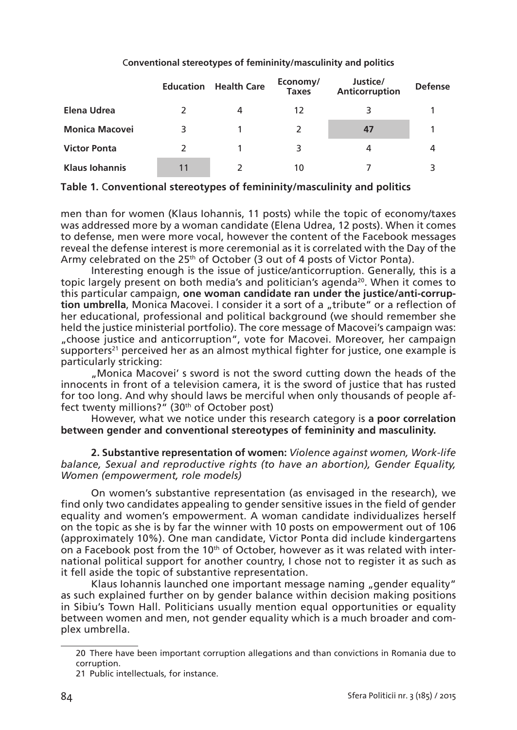|                       |    | <b>Education</b> Health Care | Economy/<br><b>Taxes</b> | Justice/<br>Anticorruption | <b>Defense</b> |  |
|-----------------------|----|------------------------------|--------------------------|----------------------------|----------------|--|
| Elena Udrea           |    | 4                            | 12                       |                            |                |  |
| <b>Monica Macovei</b> | 3  |                              |                          | 47                         |                |  |
| <b>Victor Ponta</b>   |    |                              | 3                        | 4                          |                |  |
| <b>Klaus Iohannis</b> | 11 |                              | 10                       |                            |                |  |

## C**onventional stereotypes of femininity/masculinity and politics**

**Table 1.** C**onventional stereotypes of femininity/masculinity and politics**

men than for women (Klaus Iohannis, 11 posts) while the topic of economy/taxes was addressed more by a woman candidate (Elena Udrea, 12 posts). When it comes to defense, men were more vocal, however the content of the Facebook messages reveal the defense interest is more ceremonial as it is correlated with the Day of the Army celebrated on the  $25<sup>th</sup>$  of October (3 out of 4 posts of Victor Ponta).

Interesting enough is the issue of justice/anticorruption. Generally, this is a topic largely present on both media's and politician's agenda<sup>20</sup>. When it comes to this particular campaign, **one woman candidate ran under the justice/anti-corrup**tion umbrella, Monica Macovei. I consider it a sort of a "tribute" or a reflection of her educational, professional and political background (we should remember she held the justice ministerial portfolio). The core message of Macovei's campaign was: "choose justice and anticorruption", vote for Macovei. Moreover, her campaign supporters<sup>21</sup> perceived her as an almost mythical fighter for justice, one example is particularly stricking:

"Monica Macovei' s sword is not the sword cutting down the heads of the innocents in front of a television camera, it is the sword of justice that has rusted for too long. And why should laws be merciful when only thousands of people affect twenty millions?" (30<sup>th</sup> of October post)

However, what we notice under this research category is **a poor correlation between gender and conventional stereotypes of femininity and masculinity.**

#### **2. Substantive representation of women:** *Violence against women, Work-life balance, Sexual and reproductive rights (to have an abortion), Gender Equality, Women (empowerment, role models)*

On women's substantive representation (as envisaged in the research), we find only two candidates appealing to gender sensitive issues in the field of gender equality and women's empowerment. A woman candidate individualizes herself on the topic as she is by far the winner with 10 posts on empowerment out of 106 (approximately 10%). One man candidate, Victor Ponta did include kindergartens on a Facebook post from the 10<sup>th</sup> of October, however as it was related with international political support for another country, I chose not to register it as such as it fell aside the topic of substantive representation.

Klaus Iohannis launched one important message naming "gender equality" as such explained further on by gender balance within decision making positions in Sibiu's Town Hall. Politicians usually mention equal opportunities or equality between women and men, not gender equality which is a much broader and complex umbrella.

<sup>20</sup> There have been important corruption allegations and than convictions in Romania due to corruption.

<sup>21</sup> Public intellectuals, for instance.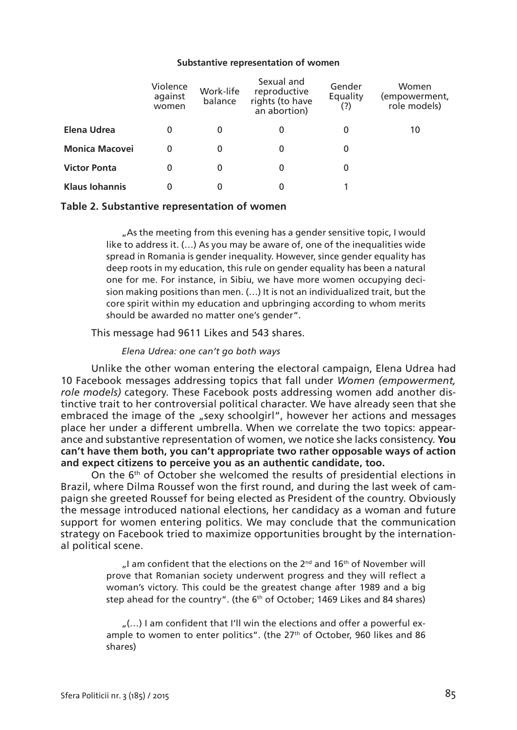#### **Substantive representation of women**

|                       | Violence<br>against<br>women | Work-life<br>balance | Sexual and<br>reproductive<br>rights (to have<br>an abortion) | Gender<br>Equality<br>(?) | Women<br>empowerment,)<br>role models) |
|-----------------------|------------------------------|----------------------|---------------------------------------------------------------|---------------------------|----------------------------------------|
| Elena Udrea           | 0                            | 0                    | 0                                                             | 0                         | 10                                     |
| <b>Monica Macovei</b> | 0                            | 0                    | 0                                                             | 0                         |                                        |
| <b>Victor Ponta</b>   | 0                            | 0                    | 0                                                             | 0                         |                                        |
| <b>Klaus Iohannis</b> | 0                            | 0                    | 0                                                             |                           |                                        |

#### **Table 2. Substantive representation of women**

"As the meeting from this evening has a gender sensitive topic, I would like to address it. (…) As you may be aware of, one of the inequalities wide spread in Romania is gender inequality. However, since gender equality has deep roots in my education, this rule on gender equality has been a natural one for me. For instance, in Sibiu, we have more women occupying decision making positions than men. (…) It is not an individualized trait, but the core spirit within my education and upbringing according to whom merits should be awarded no matter one's gender".

This message had 9611 Likes and 543 shares.

#### *Elena Udrea: one can't go both ways*

Unlike the other woman entering the electoral campaign, Elena Udrea had 10 Facebook messages addressing topics that fall under *Women (empowerment, role models)* category. These Facebook posts addressing women add another distinctive trait to her controversial political character. We have already seen that she embraced the image of the "sexy schoolgirl", however her actions and messages place her under a different umbrella. When we correlate the two topics: appearance and substantive representation of women, we notice she lacks consistency. **You can't have them both, you can't appropriate two rather opposable ways of action and expect citizens to perceive you as an authentic candidate, too.**

On the  $6<sup>th</sup>$  of October she welcomed the results of presidential elections in Brazil, where Dilma Roussef won the first round, and during the last week of campaign she greeted Roussef for being elected as President of the country. Obviously the message introduced national elections, her candidacy as a woman and future support for women entering politics. We may conclude that the communication strategy on Facebook tried to maximize opportunities brought by the international political scene.

> $\mu$ I am confident that the elections on the 2<sup>nd</sup> and 16<sup>th</sup> of November will prove that Romanian society underwent progress and they will reflect a woman's victory. This could be the greatest change after 1989 and a big step ahead for the country". (the 6<sup>th</sup> of October; 1469 Likes and 84 shares)

> $\ldots$ ) I am confident that I'll win the elections and offer a powerful example to women to enter politics". (the 27<sup>th</sup> of October, 960 likes and 86 shares)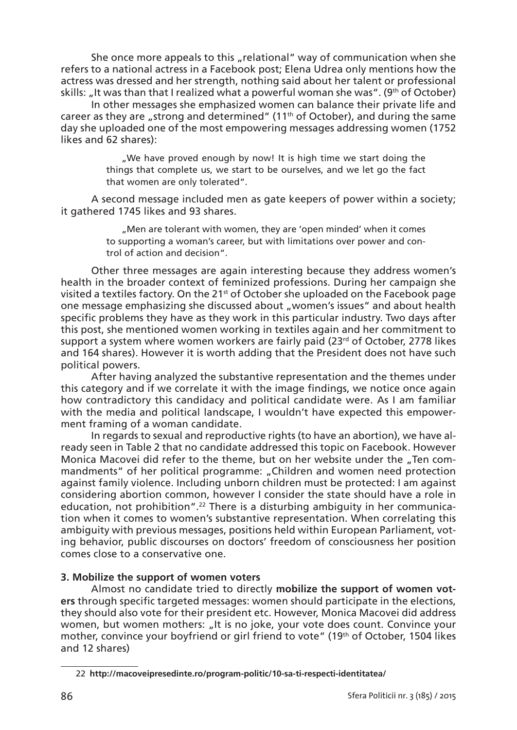She once more appeals to this "relational" way of communication when she refers to a national actress in a Facebook post; Elena Udrea only mentions how the actress was dressed and her strength, nothing said about her talent or professional skills: "It was than that I realized what a powerful woman she was". (9<sup>th</sup> of October)

In other messages she emphasized women can balance their private life and career as they are "strong and determined" (11<sup>th</sup> of October), and during the same day she uploaded one of the most empowering messages addressing women (1752 likes and 62 shares):

> .We have proved enough by now! It is high time we start doing the things that complete us, we start to be ourselves, and we let go the fact that women are only tolerated".

A second message included men as gate keepers of power within a society; it gathered 1745 likes and 93 shares.

> ". Men are tolerant with women, they are 'open minded' when it comes to supporting a woman's career, but with limitations over power and control of action and decision".

Other three messages are again interesting because they address women's health in the broader context of feminized professions. During her campaign she visited a textiles factory. On the  $21^{st}$  of October she uploaded on the Facebook page one message emphasizing she discussed about "women's issues" and about health specific problems they have as they work in this particular industry. Two days after this post, she mentioned women working in textiles again and her commitment to support a system where women workers are fairly paid ( $23<sup>rd</sup>$  of October, 2778 likes and 164 shares). However it is worth adding that the President does not have such political powers.

After having analyzed the substantive representation and the themes under this category and if we correlate it with the image findings, we notice once again how contradictory this candidacy and political candidate were. As I am familiar with the media and political landscape, I wouldn't have expected this empowerment framing of a woman candidate.

In regards to sexual and reproductive rights (to have an abortion), we have already seen in Table 2 that no candidate addressed this topic on Facebook. However Monica Macovei did refer to the theme, but on her website under the "Ten commandments" of her political programme: "Children and women need protection against family violence. Including unborn children must be protected: I am against considering abortion common, however I consider the state should have a role in education, not prohibition".<sup>22</sup> There is a disturbing ambiguity in her communication when it comes to women's substantive representation. When correlating this ambiguity with previous messages, positions held within European Parliament, voting behavior, public discourses on doctors' freedom of consciousness her position comes close to a conservative one.

#### **3. Mobilize the support of women voters**

Almost no candidate tried to directly **mobilize the support of women voters** through specific targeted messages: women should participate in the elections, they should also vote for their president etc. However, Monica Macovei did address women, but women mothers: "It is no joke, your vote does count. Convince your mother, convince your boyfriend or girl friend to vote" (19th of October, 1504 likes and 12 shares)

<sup>22</sup> **http://macoveipresedinte.ro/program-politic/10-sa-ti-respecti-identitatea/**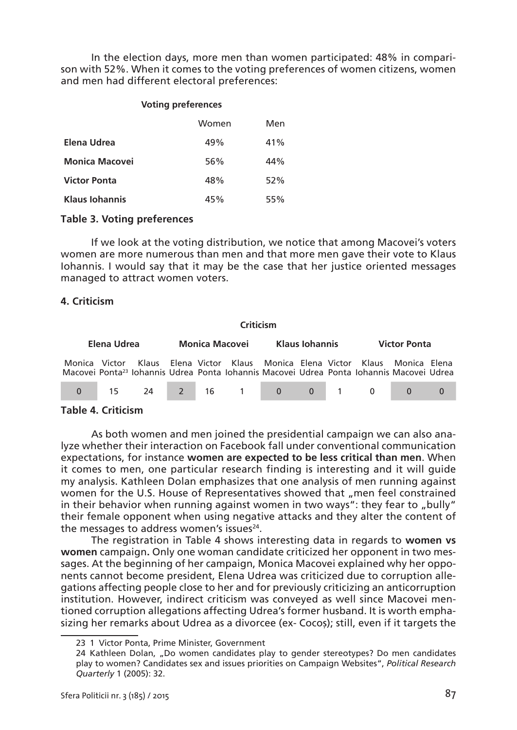In the election days, more men than women participated: 48% in comparison with 52%. When it comes to the voting preferences of women citizens, women and men had different electoral preferences:

#### **Voting preferences**

|                       | Women | Men |
|-----------------------|-------|-----|
| Elena Udrea           | 49%   | 41% |
| <b>Monica Macovei</b> | 56%   | 44% |
| <b>Victor Ponta</b>   | 48%   | 52% |
| <b>Klaus Iohannis</b> | 45%   | 55% |

#### **Table 3. Voting preferences**

If we look at the voting distribution, we notice that among Macovei's voters women are more numerous than men and that more men gave their vote to Klaus Iohannis. I would say that it may be the case that her justice oriented messages managed to attract women voters.

#### **4. Criticism**

| Criticism     |  |                                                                                                                                                                         |  |                |  |  |                     |  |  |  |  |
|---------------|--|-------------------------------------------------------------------------------------------------------------------------------------------------------------------------|--|----------------|--|--|---------------------|--|--|--|--|
| Elena Udrea   |  | Monica Macovei                                                                                                                                                          |  | Klaus Iohannis |  |  | <b>Victor Ponta</b> |  |  |  |  |
| Monica Victor |  | Klaus Elena-Victor Klaus Monica Elena-Victor Klaus Monica Elena<br>Macovei Ponta <sup>23</sup> Iohannis Udrea Ponta Iohannis Macovei Udrea Ponta Iohannis Macovei Udrea |  |                |  |  |                     |  |  |  |  |
|               |  | 0 15 24 2 16 1 0 0 1 0 0 0 0                                                                                                                                            |  |                |  |  |                     |  |  |  |  |

## **Table 4. Criticism**

As both women and men joined the presidential campaign we can also analyze whether their interaction on Facebook fall under conventional communication expectations, for instance **women are expected to be less critical than men**. When it comes to men, one particular research finding is interesting and it will guide my analysis. Kathleen Dolan emphasizes that one analysis of men running against women for the U.S. House of Representatives showed that ..men feel constrained in their behavior when running against women in two ways": they fear to "bully" their female opponent when using negative attacks and they alter the content of the messages to address women's issues $24$ .

The registration in Table 4 shows interesting data in regards to **women vs women** campaign**.** Only one woman candidate criticized her opponent in two messages. At the beginning of her campaign, Monica Macovei explained why her opponents cannot become president, Elena Udrea was criticized due to corruption allegations affecting people close to her and for previously criticizing an anticorruption institution. However, indirect criticism was conveyed as well since Macovei mentioned corruption allegations affecting Udrea's former husband. It is worth emphasizing her remarks about Udrea as a divorcee (ex- Cocoș); still, even if it targets the

<sup>23 1</sup> Victor Ponta, Prime Minister, Government

<sup>24</sup> Kathleen Dolan, "Do women candidates play to gender stereotypes? Do men candidates play to women? Candidates sex and issues priorities on Campaign Websites", *Political Research Quarterly* 1 (2005): 32.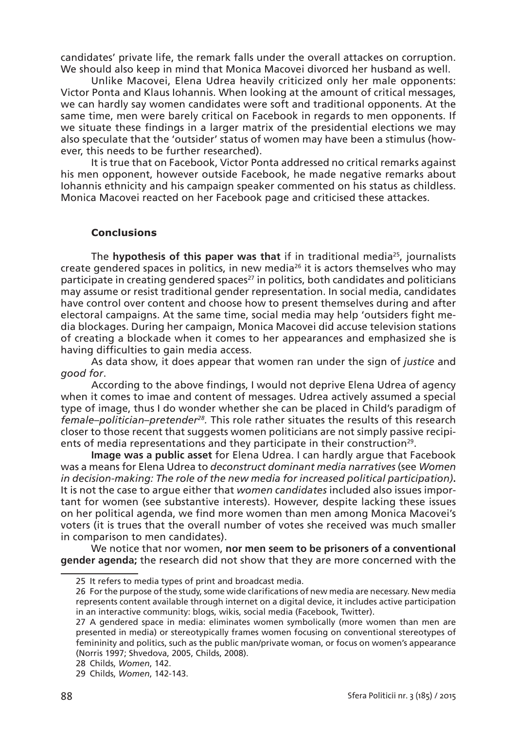candidates' private life, the remark falls under the overall attackes on corruption. We should also keep in mind that Monica Macovei divorced her husband as well.

Unlike Macovei, Elena Udrea heavily criticized only her male opponents: Victor Ponta and Klaus Iohannis. When looking at the amount of critical messages, we can hardly say women candidates were soft and traditional opponents. At the same time, men were barely critical on Facebook in regards to men opponents. If we situate these findings in a larger matrix of the presidential elections we may also speculate that the 'outsider' status of women may have been a stimulus (however, this needs to be further researched).

It is true that on Facebook, Victor Ponta addressed no critical remarks against his men opponent, however outside Facebook, he made negative remarks about Iohannis ethnicity and his campaign speaker commented on his status as childless. Monica Macovei reacted on her Facebook page and criticised these attackes.

## **Conclusions**

The **hypothesis of this paper was that** if in traditional media25, journalists create gendered spaces in politics, in new media $^{26}$  it is actors themselves who may participate in creating gendered spaces<sup>27</sup> in politics, both candidates and politicians may assume or resist traditional gender representation. In social media, candidates have control over content and choose how to present themselves during and after electoral campaigns. At the same time, social media may help 'outsiders fight media blockages. During her campaign, Monica Macovei did accuse television stations of creating a blockade when it comes to her appearances and emphasized she is having difficulties to gain media access.

As data show, it does appear that women ran under the sign of *justice* and *good for*.

According to the above findings, I would not deprive Elena Udrea of agency when it comes to imae and content of messages. Udrea actively assumed a special type of image, thus I do wonder whether she can be placed in Child's paradigm of *female–politician–pretender28.* This role rather situates the results of this research closer to those recent that suggests women politicians are not simply passive recipients of media representations and they participate in their construction<sup>29</sup>.

**Image was a public asset** for Elena Udrea. I can hardly argue that Facebook was a means for Elena Udrea to *deconstruct dominant media narratives* (see *Women in decision-making: The role of the new media for increased political participation)***.**  It is not the case to argue either that *women candidates* included also issues important for women (see substantive interests). However, despite lacking these issues on her political agenda, we find more women than men among Monica Macovei's voters (it is trues that the overall number of votes she received was much smaller in comparison to men candidates).

We notice that nor women, **nor men seem to be prisoners of a conventional gender agenda;** the research did not show that they are more concerned with the

28 Childs, *Women*, 142.

<sup>25</sup> It refers to media types of print and broadcast media.

<sup>26</sup> For the purpose of the study, some wide clarifications of new media are necessary. New media represents content available through internet on a digital device, it includes active participation in an interactive community: blogs, wikis, social media (Facebook, Twitter).

<sup>27</sup> A gendered space in media: eliminates women symbolically (more women than men are presented in media) or stereotypically frames women focusing on conventional stereotypes of femininity and politics, such as the public man/private woman, or focus on women's appearance (Norris 1997; Shvedova, 2005, Childs, 2008).

<sup>29</sup> Childs, *Women*, 142-143.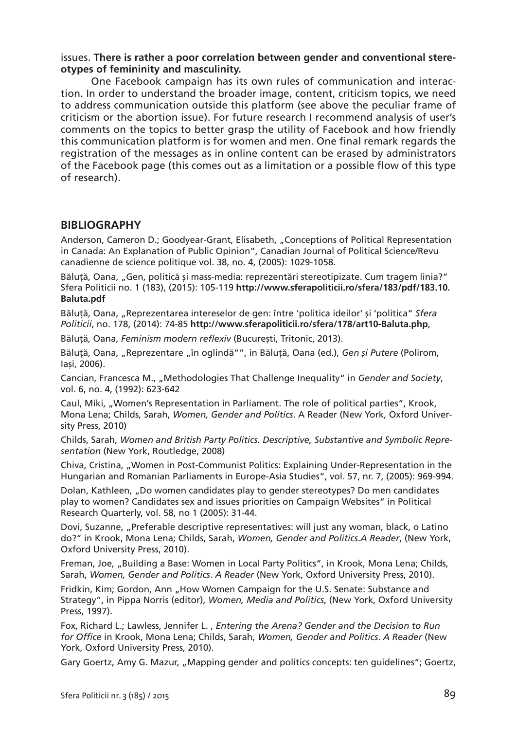## issues. **There is rather a poor correlation between gender and conventional stereotypes of femininity and masculinity.**

One Facebook campaign has its own rules of communication and interaction. In order to understand the broader image, content, criticism topics, we need to address communication outside this platform (see above the peculiar frame of criticism or the abortion issue). For future research I recommend analysis of user's comments on the topics to better grasp the utility of Facebook and how friendly this communication platform is for women and men. One final remark regards the registration of the messages as in online content can be erased by administrators of the Facebook page (this comes out as a limitation or a possible flow of this type of research).

## **BIBLIOGRAPHY**

Anderson, Cameron D.; Goodyear-Grant, Elisabeth, "Conceptions of Political Representation in Canada: An Explanation of Public Opinion", Canadian Journal of Political Science/Revu canadienne de science politique vol. 38, no. 4, (2005): 1029-1058.

Băluță, Oana, "Gen, politică și mass-media: reprezentări stereotipizate. Cum tragem linia?" Sfera Politicii no. 1 (183), (2015): 105-119 **http://www.sferapoliticii.ro/sfera/183/pdf/183.10. Baluta.pdf**

Băluță, Oana, "Reprezentarea intereselor de gen: între 'politica ideilor' și 'politica" *Sfera Politicii*, no. 178, (2014): 74-85 **http://www.sferapoliticii.ro/sfera/178/art10-Baluta.php**,

Băluță, Oana, *Feminism modern reflexiv* (București, Tritonic, 2013).

Băluță, Oana, "Reprezentare "în oglindă"", in Băluță, Oana (ed.), *Gen și Putere* (Polirom, Iași, 2006).

Cancian, Francesca M., "Methodologies That Challenge Inequality" in *Gender and Society*, vol. 6, no. 4, (1992): 623-642

Caul, Miki, "Women's Representation in Parliament. The role of political parties", Krook, Mona Lena; Childs, Sarah, *Women, Gender and Politics*. A Reader (New York, Oxford University Press, 2010)

Childs, Sarah, *Women and British Party Politics. Descriptive, Substantive and Symbolic Representation* (New York, Routledge, 2008)

Chiva, Cristina, "Women in Post-Communist Politics: Explaining Under-Representation in the Hungarian and Romanian Parliaments in Europe-Asia Studies", vol. 57, nr. 7, (2005): 969-994.

Dolan, Kathleen, "Do women candidates play to gender stereotypes? Do men candidates play to women? Candidates sex and issues priorities on Campaign Websites" in Political Research Quarterly, vol. 58, no 1 (2005): 31-44.

Dovi, Suzanne, "Preferable descriptive representatives: will just any woman, black, o Latino do?" in Krook, Mona Lena; Childs, Sarah, *Women, Gender and Politics*.*A Reader*, (New York, Oxford University Press, 2010).

Freman, Joe, "Building a Base: Women in Local Party Politics", in Krook, Mona Lena; Childs, Sarah, *Women, Gender and Politics*. *A Reader* (New York, Oxford University Press, 2010).

Fridkin, Kim; Gordon, Ann "How Women Campaign for the U.S. Senate: Substance and Strategy", in Pippa Norris (editor), *Women, Media and Politics*, (New York, Oxford University Press, 1997).

Fox, Richard L.; Lawless, Jennifer L. , *Entering the Arena? Gender and the Decision to Run for Office* in Krook, Mona Lena; Childs, Sarah, *Women, Gender and Politics*. *A Reader* (New York, Oxford University Press, 2010).

Gary Goertz, Amy G. Mazur, "Mapping gender and politics concepts: ten guidelines"; Goertz,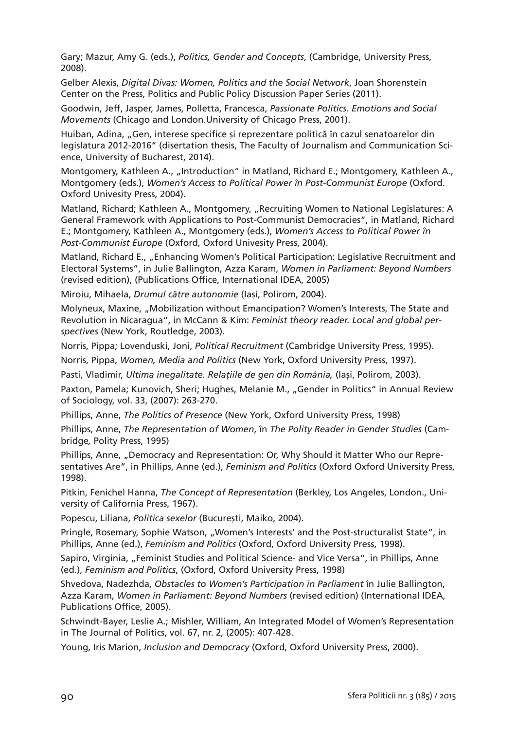Gary; Mazur, Amy G. (eds.), *Politics, Gender and Concepts*, (Cambridge, University Press, 2008).

Gelber Alexis, *Digital Divas: Women, Politics and the Social Network*, Joan Shorenstein Center on the Press, Politics and Public Policy Discussion Paper Series (2011).

Goodwin, Jeff, Jasper, James, Polletta, Francesca, *Passionate Politics. Emotions and Social Movements* (Chicago and London.University of Chicago Press, 2001).

Huiban, Adina, "Gen, interese specifice și reprezentare politică în cazul senatoarelor din legislatura 2012-2016" (disertation thesis, The Faculty of Journalism and Communication Science, University of Bucharest, 2014).

Montgomery, Kathleen A., "Introduction" in Matland, Richard E.; Montgomery, Kathleen A., Montgomery (eds.), *Women's Access to Political Power în Post-Communist Europe* (Oxford. Oxford Univesity Press, 2004).

Matland, Richard; Kathleen A., Montgomery, "Recruiting Women to National Legislatures: A General Framework with Applications to Post-Communist Democracies", in Matland, Richard E.; Montgomery, Kathleen A., Montgomery (eds.), *Women's Access to Political Power în Post-Communist Europe* (Oxford, Oxford Univesity Press, 2004).

Matland, Richard E., "Enhancing Women's Political Participation: Legislative Recruitment and Electoral Systems", in Julie Ballington, Azza Karam, *Women in Parliament: Beyond Numbers* (revised edition), (Publications Office, International IDEA, 2005)

Miroiu, Mihaela, *Drumul către autonomie* (Iași, Polirom, 2004).

Molyneux, Maxine, "Mobilization without Emancipation? Women's Interests, The State and Revolution in Nicaragua", in McCann & Kim: *Feminist theory reader. Local and global perspectives* (New York, Routledge, 2003).

Norris, Pippa; Lovenduski, Joni, *Political Recruitment* (Cambridge University Press, 1995).

Norris, Pippa, *Women, Media and Politics* (New York, Oxford University Press, 1997).

Pasti, Vladimir, *Ultima inegalitate. Relațiile de gen din România,* (Iași, Polirom, 2003).

Paxton, Pamela; Kunovich, Sheri; Hughes, Melanie M., "Gender in Politics" in Annual Review of Sociology, vol. 33, (2007): 263-270.

Phillips, Anne, *The Politics of Presence* (New York, Oxford University Press, 1998)

Phillips, Anne, *The Representation of Women*, în *The Polity Reader in Gender Studies* (Cambridge*,* Polity Press, 1995)

Phillips, Anne, "Democracy and Representation: Or, Why Should it Matter Who our Representatives Are", in Phillips, Anne (ed.), *Feminism and Politics* (Oxford Oxford University Press, 1998).

Pitkin, Fenichel Hanna, *The Concept of Representation* (Berkley, Los Angeles, London., University of California Press, 1967).

Popescu, Liliana, *Politica sexelor* (București, Maiko, 2004).

Pringle, Rosemary, Sophie Watson, "Women's Interests' and the Post-structuralist State", in Phillips, Anne (ed.), *Feminism and Politics* (Oxford, Oxford University Press, 1998).

Sapiro, Virginia, "Feminist Studies and Political Science- and Vice Versa", in Phillips, Anne (ed.), *Feminism and Politics*, (Oxford, Oxford University Press, 1998)

Shvedova, Nadezhda, *Obstacles to Women's Participation in Parliament* în Julie Ballington, Azza Karam, *Women in Parliament: Beyond Numbers* (revised edition) (International IDEA, Publications Office, 2005).

Schwindt-Bayer, Leslie A.; Mishler, William, An Integrated Model of Women's Representation in The Journal of Politics, vol. 67, nr. 2, (2005): 407-428.

Young, Iris Marion, *Inclusion and Democracy* (Oxford, Oxford University Press, 2000).